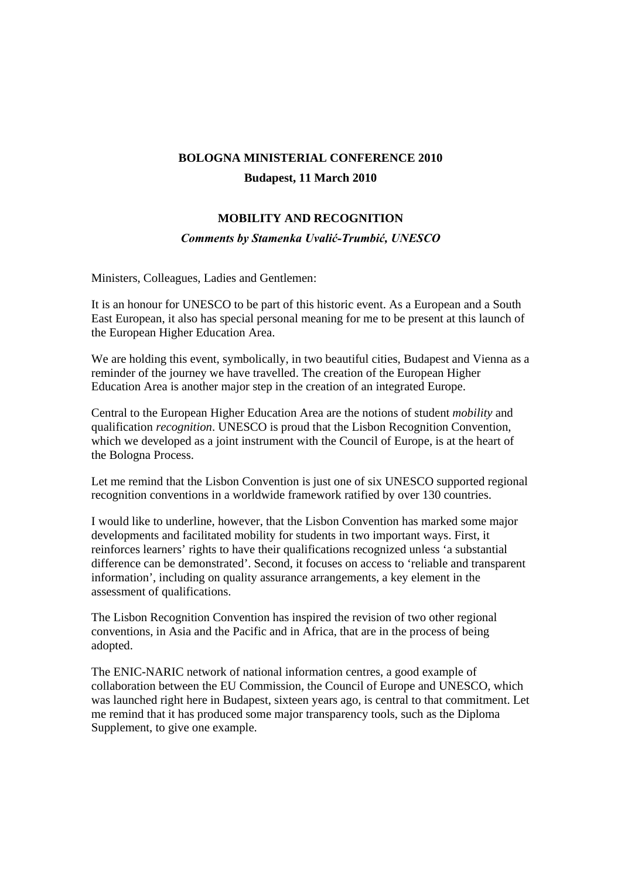## **BOLOGNA MINISTERIAL CONFERENCE 2010 Budapest, 11 March 2010**

## **MOBILITY AND RECOGNITION**

## *Comments by Stamenka Uvalić-Trumbić, UNESCO*

Ministers, Colleagues, Ladies and Gentlemen:

It is an honour for UNESCO to be part of this historic event. As a European and a South East European, it also has special personal meaning for me to be present at this launch of the European Higher Education Area.

We are holding this event, symbolically, in two beautiful cities, Budapest and Vienna as a reminder of the journey we have travelled. The creation of the European Higher Education Area is another major step in the creation of an integrated Europe.

Central to the European Higher Education Area are the notions of student *mobility* and qualification *recognition*. UNESCO is proud that the Lisbon Recognition Convention, which we developed as a joint instrument with the Council of Europe, is at the heart of the Bologna Process.

Let me remind that the Lisbon Convention is just one of six UNESCO supported regional recognition conventions in a worldwide framework ratified by over 130 countries.

I would like to underline, however, that the Lisbon Convention has marked some major developments and facilitated mobility for students in two important ways. First, it reinforces learners' rights to have their qualifications recognized unless 'a substantial difference can be demonstrated'. Second, it focuses on access to 'reliable and transparent information', including on quality assurance arrangements, a key element in the assessment of qualifications.

The Lisbon Recognition Convention has inspired the revision of two other regional conventions, in Asia and the Pacific and in Africa, that are in the process of being adopted.

The ENIC-NARIC network of national information centres, a good example of collaboration between the EU Commission, the Council of Europe and UNESCO, which was launched right here in Budapest, sixteen years ago, is central to that commitment. Let me remind that it has produced some major transparency tools, such as the Diploma Supplement, to give one example.